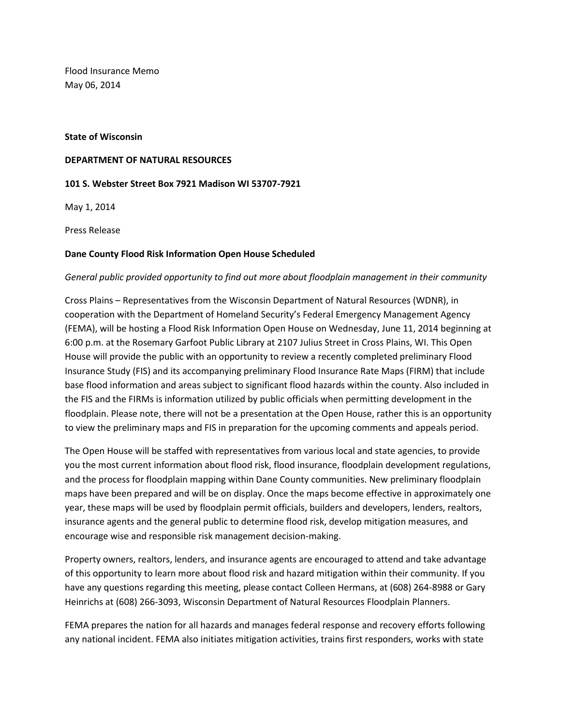Flood Insurance Memo May 06, 2014

# **State of Wisconsin**

#### **DEPARTMENT OF NATURAL RESOURCES**

# **101 S. Webster Street Box 7921 Madison WI 53707-7921**

May 1, 2014

Press Release

# **Dane County Flood Risk Information Open House Scheduled**

# *General public provided opportunity to find out more about floodplain management in their community*

Cross Plains – Representatives from the Wisconsin Department of Natural Resources (WDNR), in cooperation with the Department of Homeland Security's Federal Emergency Management Agency (FEMA), will be hosting a Flood Risk Information Open House on Wednesday, June 11, 2014 beginning at 6:00 p.m. at the Rosemary Garfoot Public Library at 2107 Julius Street in Cross Plains, WI. This Open House will provide the public with an opportunity to review a recently completed preliminary Flood Insurance Study (FIS) and its accompanying preliminary Flood Insurance Rate Maps (FIRM) that include base flood information and areas subject to significant flood hazards within the county. Also included in the FIS and the FIRMs is information utilized by public officials when permitting development in the floodplain. Please note, there will not be a presentation at the Open House, rather this is an opportunity to view the preliminary maps and FIS in preparation for the upcoming comments and appeals period.

The Open House will be staffed with representatives from various local and state agencies, to provide you the most current information about flood risk, flood insurance, floodplain development regulations, and the process for floodplain mapping within Dane County communities. New preliminary floodplain maps have been prepared and will be on display. Once the maps become effective in approximately one year, these maps will be used by floodplain permit officials, builders and developers, lenders, realtors, insurance agents and the general public to determine flood risk, develop mitigation measures, and encourage wise and responsible risk management decision-making.

Property owners, realtors, lenders, and insurance agents are encouraged to attend and take advantage of this opportunity to learn more about flood risk and hazard mitigation within their community. If you have any questions regarding this meeting, please contact Colleen Hermans, at (608) 264-8988 or Gary Heinrichs at (608) 266-3093, Wisconsin Department of Natural Resources Floodplain Planners.

FEMA prepares the nation for all hazards and manages federal response and recovery efforts following any national incident. FEMA also initiates mitigation activities, trains first responders, works with state